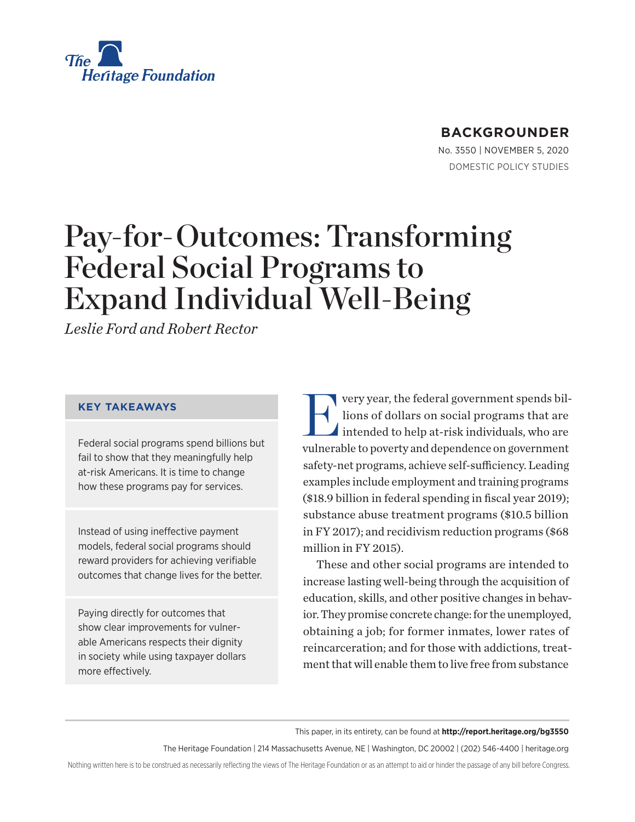

## **BACKGROUNDER**

No. 3550 | November 5, 2020 DOMESTIC POLICY STUDIES

# Pay-for-Outcomes: Transforming Federal Social Programs to Expand Individual Well-Being

*Leslie Ford and Robert Rector*

#### **KEY TAKEAWAYS**

Federal social programs spend billions but fail to show that they meaningfully help at-risk Americans. It is time to change how these programs pay for services.

Instead of using ineffective payment models, federal social programs should reward providers for achieving verifiable outcomes that change lives for the better.

Paying directly for outcomes that show clear improvements for vulnerable Americans respects their dignity in society while using taxpayer dollars more effectively.

Very year, the federal government spends bil-<br>lions of dollars on social programs that are<br>intended to help at-risk individuals, who are lions of dollars on social programs that are intended to help at-risk individuals, who are vulnerable to poverty and dependence on government safety-net programs, achieve self-sufficiency. Leading examples include employment and training programs (\$18.9 billion in federal spending in fiscal year 2019); substance abuse treatment programs (\$10.5 billion in FY 2017); and recidivism reduction programs (\$68 million in FY 2015).

These and other social programs are intended to increase lasting well-being through the acquisition of education, skills, and other positive changes in behavior. They promise concrete change: for the unemployed, obtaining a job; for former inmates, lower rates of reincarceration; and for those with addictions, treatment that will enable them to live free from substance

This paper, in its entirety, can be found at **http://report.heritage.org/bg3550**

The Heritage Foundation | 214 Massachusetts Avenue, NE | Washington, DC 20002 | (202) 546-4400 | heritage.org

Nothing written here is to be construed as necessarily reflecting the views of The Heritage Foundation or as an attempt to aid or hinder the passage of any bill before Congress.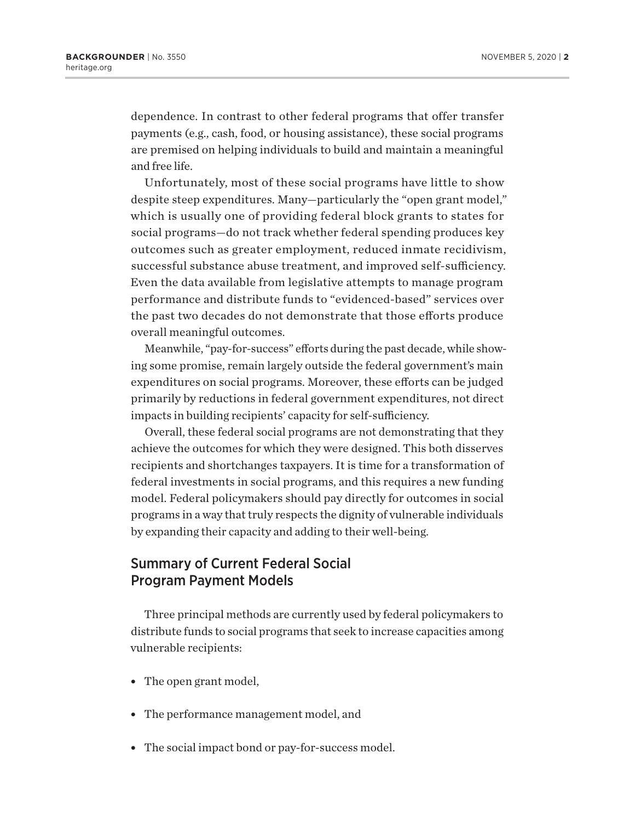dependence. In contrast to other federal programs that offer transfer payments (e.g., cash, food, or housing assistance), these social programs are premised on helping individuals to build and maintain a meaningful and free life.

Unfortunately, most of these social programs have little to show despite steep expenditures. Many—particularly the "open grant model," which is usually one of providing federal block grants to states for social programs—do not track whether federal spending produces key outcomes such as greater employment, reduced inmate recidivism, successful substance abuse treatment, and improved self-sufficiency. Even the data available from legislative attempts to manage program performance and distribute funds to "evidenced-based" services over the past two decades do not demonstrate that those efforts produce overall meaningful outcomes.

Meanwhile, "pay-for-success" efforts during the past decade, while showing some promise, remain largely outside the federal government's main expenditures on social programs. Moreover, these efforts can be judged primarily by reductions in federal government expenditures, not direct impacts in building recipients' capacity for self-sufficiency.

Overall, these federal social programs are not demonstrating that they achieve the outcomes for which they were designed. This both disserves recipients and shortchanges taxpayers. It is time for a transformation of federal investments in social programs, and this requires a new funding model. Federal policymakers should pay directly for outcomes in social programs in a way that truly respects the dignity of vulnerable individuals by expanding their capacity and adding to their well-being.

#### Summary of Current Federal Social Program Payment Models

Three principal methods are currently used by federal policymakers to distribute funds to social programs that seek to increase capacities among vulnerable recipients:

- The open grant model,
- The performance management model, and
- The social impact bond or pay-for-success model.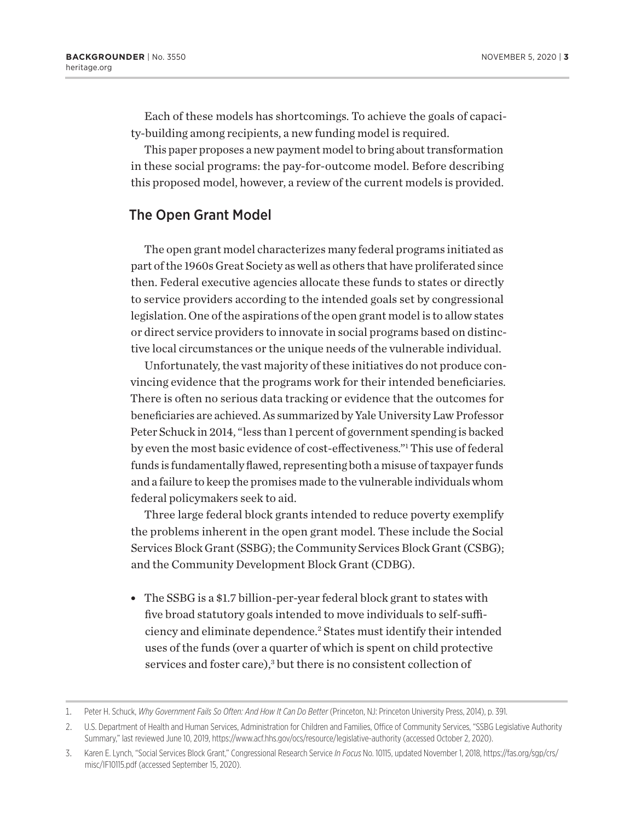Each of these models has shortcomings. To achieve the goals of capacity-building among recipients, a new funding model is required.

This paper proposes a new payment model to bring about transformation in these social programs: the pay-for-outcome model. Before describing this proposed model, however, a review of the current models is provided.

### The Open Grant Model

The open grant model characterizes many federal programs initiated as part of the 1960s Great Society as well as others that have proliferated since then. Federal executive agencies allocate these funds to states or directly to service providers according to the intended goals set by congressional legislation. One of the aspirations of the open grant model is to allow states or direct service providers to innovate in social programs based on distinctive local circumstances or the unique needs of the vulnerable individual.

Unfortunately, the vast majority of these initiatives do not produce convincing evidence that the programs work for their intended beneficiaries. There is often no serious data tracking or evidence that the outcomes for beneficiaries are achieved. As summarized by Yale University Law Professor Peter Schuck in 2014, "less than 1 percent of government spending is backed by even the most basic evidence of cost-effectiveness."1 This use of federal funds is fundamentally flawed, representing both a misuse of taxpayer funds and a failure to keep the promises made to the vulnerable individuals whom federal policymakers seek to aid.

Three large federal block grants intended to reduce poverty exemplify the problems inherent in the open grant model. These include the Social Services Block Grant (SSBG); the Community Services Block Grant (CSBG); and the Community Development Block Grant (CDBG).

• The SSBG is a \$1.7 billion-per-year federal block grant to states with five broad statutory goals intended to move individuals to self-sufficiency and eliminate dependence.2 States must identify their intended uses of the funds (over a quarter of which is spent on child protective services and foster care),<sup>3</sup> but there is no consistent collection of

<sup>1.</sup> Peter H. Schuck, *Why Government Fails So Often: And How It Can Do Better* (Princeton, NJ: Princeton University Press, 2014), p. 391.

<sup>2.</sup> U.S. Department of Health and Human Services, Administration for Children and Families, Office of Community Services, "SSBG Legislative Authority Summary," last reviewed June 10, 2019, https://www.acf.hhs.gov/ocs/resource/legislative-authority (accessed October 2, 2020).

<sup>3.</sup> Karen E. Lynch, "Social Services Block Grant," Congressional Research Service *In Focus* No. 10115, updated November 1, 2018, https://fas.org/sgp/crs/ misc/IF10115.pdf (accessed September 15, 2020).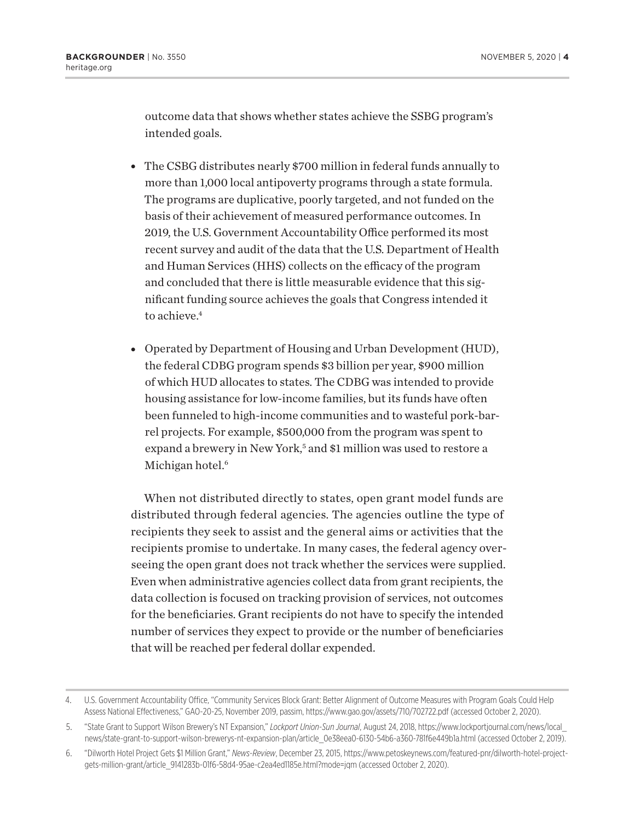outcome data that shows whether states achieve the SSBG program's intended goals.

- The CSBG distributes nearly \$700 million in federal funds annually to more than 1,000 local antipoverty programs through a state formula. The programs are duplicative, poorly targeted, and not funded on the basis of their achievement of measured performance outcomes. In 2019, the U.S. Government Accountability Office performed its most recent survey and audit of the data that the U.S. Department of Health and Human Services (HHS) collects on the efficacy of the program and concluded that there is little measurable evidence that this significant funding source achieves the goals that Congress intended it to achieve.<sup>4</sup>
- Operated by Department of Housing and Urban Development (HUD), the federal CDBG program spends \$3 billion per year, \$900 million of which HUD allocates to states. The CDBG was intended to provide housing assistance for low-income families, but its funds have often been funneled to high-income communities and to wasteful pork-barrel projects. For example, \$500,000 from the program was spent to expand a brewery in New York,<sup>5</sup> and \$1 million was used to restore a Michigan hotel.<sup>6</sup>

When not distributed directly to states, open grant model funds are distributed through federal agencies. The agencies outline the type of recipients they seek to assist and the general aims or activities that the recipients promise to undertake. In many cases, the federal agency overseeing the open grant does not track whether the services were supplied. Even when administrative agencies collect data from grant recipients, the data collection is focused on tracking provision of services, not outcomes for the beneficiaries. Grant recipients do not have to specify the intended number of services they expect to provide or the number of beneficiaries that will be reached per federal dollar expended.

<sup>4.</sup> U.S. Government Accountability Office, "Community Services Block Grant: Better Alignment of Outcome Measures with Program Goals Could Help Assess National Effectiveness," GAO-20-25, November 2019, passim, https://www.gao.gov/assets/710/702722.pdf (accessed October 2, 2020).

<sup>5.</sup> "State Grant to Support Wilson Brewery's NT Expansion," *Lockport Union-Sun Journal*, August 24, 2018, https://www.lockportjournal.com/news/local\_ news/state-grant-to-support-wilson-brewerys-nt-expansion-plan/article\_0e38eea0-6130-54b6-a360-781f6e449b1a.html (accessed October 2, 2019).

<sup>6.</sup> "Dilworth Hotel Project Gets \$1 Million Grant," *News-Review*, December 23, 2015, https://www.petoskeynews.com/featured-pnr/dilworth-hotel-projectgets-million-grant/article\_9141283b-01f6-58d4-95ae-c2ea4ed1185e.html?mode=jqm (accessed October 2, 2020).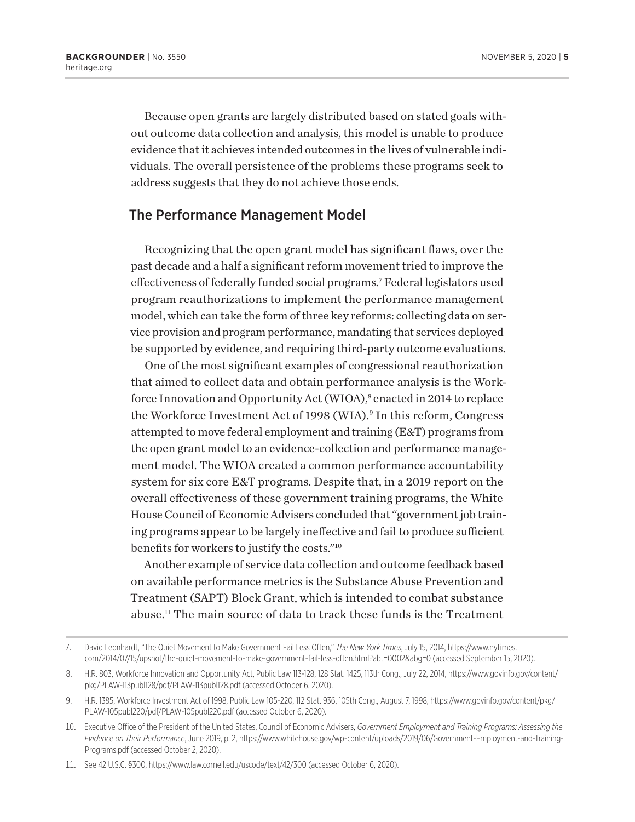Because open grants are largely distributed based on stated goals without outcome data collection and analysis, this model is unable to produce evidence that it achieves intended outcomes in the lives of vulnerable individuals. The overall persistence of the problems these programs seek to address suggests that they do not achieve those ends.

#### The Performance Management Model

Recognizing that the open grant model has significant flaws, over the past decade and a half a significant reform movement tried to improve the effectiveness of federally funded social programs.7 Federal legislators used program reauthorizations to implement the performance management model, which can take the form of three key reforms: collecting data on service provision and program performance, mandating that services deployed be supported by evidence, and requiring third-party outcome evaluations.

One of the most significant examples of congressional reauthorization that aimed to collect data and obtain performance analysis is the Workforce Innovation and Opportunity Act (WIOA),<sup>8</sup> enacted in 2014 to replace the Workforce Investment Act of 1998 (WIA).<sup>9</sup> In this reform, Congress attempted to move federal employment and training (E&T) programs from the open grant model to an evidence-collection and performance management model. The WIOA created a common performance accountability system for six core E&T programs. Despite that, in a 2019 report on the overall effectiveness of these government training programs, the White House Council of Economic Advisers concluded that "government job training programs appear to be largely ineffective and fail to produce sufficient benefits for workers to justify the costs."10

Another example of service data collection and outcome feedback based on available performance metrics is the Substance Abuse Prevention and Treatment (SAPT) Block Grant, which is intended to combat substance abuse.11 The main source of data to track these funds is the Treatment

<sup>7.</sup> David Leonhardt, "The Quiet Movement to Make Government Fail Less Often," *The New York Times*, July 15, 2014, https://www.nytimes. com/2014/07/15/upshot/the-quiet-movement-to-make-government-fail-less-often.html?abt=0002&abg=0 (accessed September 15, 2020).

<sup>8.</sup> H.R. 803, Workforce Innovation and Opportunity Act, Public Law 113-128, 128 Stat. 1425, 113th Cong., July 22, 2014, https://www.govinfo.gov/content/ pkg/PLAW-113publ128/pdf/PLAW-113publ128.pdf (accessed October 6, 2020).

<sup>9.</sup> H.R. 1385, Workforce Investment Act of 1998, Public Law 105-220, 112 Stat. 936, 105th Cong., August 7, 1998, https://www.govinfo.gov/content/pkg/ PLAW-105publ220/pdf/PLAW-105publ220.pdf (accessed October 6, 2020).

<sup>10.</sup> Executive Office of the President of the United States, Council of Economic Advisers, *Government Employment and Training Programs: Assessing the Evidence on Their Performance*, June 2019, p. 2, https://www.whitehouse.gov/wp-content/uploads/2019/06/Government-Employment-and-Training-Programs.pdf (accessed October 2, 2020).

<sup>11.</sup> See 42 U.S.C. §300, https://www.law.cornell.edu/uscode/text/42/300 (accessed October 6, 2020).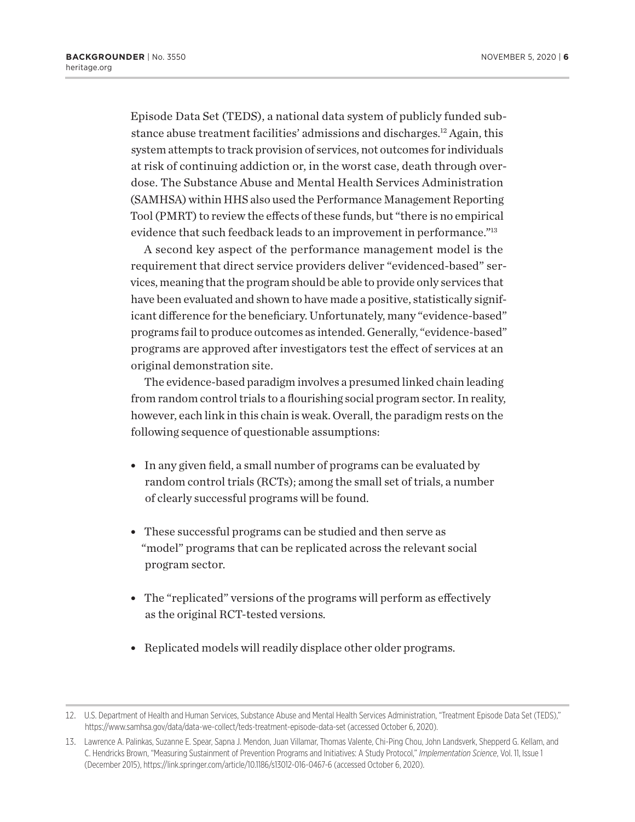Episode Data Set (TEDS), a national data system of publicly funded substance abuse treatment facilities' admissions and discharges.12 Again, this system attempts to track provision of services, not outcomes for individuals at risk of continuing addiction or, in the worst case, death through overdose. The Substance Abuse and Mental Health Services Administration (SAMHSA) within HHS also used the Performance Management Reporting Tool (PMRT) to review the effects of these funds, but "there is no empirical evidence that such feedback leads to an improvement in performance."13

A second key aspect of the performance management model is the requirement that direct service providers deliver "evidenced-based" services, meaning that the program should be able to provide only services that have been evaluated and shown to have made a positive, statistically significant difference for the beneficiary. Unfortunately, many "evidence-based" programs fail to produce outcomes as intended. Generally, "evidence-based" programs are approved after investigators test the effect of services at an original demonstration site.

The evidence-based paradigm involves a presumed linked chain leading from random control trials to a flourishing social program sector. In reality, however, each link in this chain is weak. Overall, the paradigm rests on the following sequence of questionable assumptions:

- In any given field, a small number of programs can be evaluated by random control trials (RCTs); among the small set of trials, a number of clearly successful programs will be found.
- These successful programs can be studied and then serve as "model" programs that can be replicated across the relevant social program sector.
- The "replicated" versions of the programs will perform as effectively as the original RCT-tested versions.
- Replicated models will readily displace other older programs.

<sup>12.</sup> U.S. Department of Health and Human Services, Substance Abuse and Mental Health Services Administration, "Treatment Episode Data Set (TEDS)," https://www.samhsa.gov/data/data-we-collect/teds-treatment-episode-data-set (accessed October 6, 2020).

<sup>13.</sup> Lawrence A. Palinkas, Suzanne E. Spear, Sapna J. Mendon, Juan Villamar, Thomas Valente, Chi-Ping Chou, John Landsverk, Shepperd G. Kellam, and C. Hendricks Brown, "Measuring Sustainment of Prevention Programs and Initiatives: A Study Protocol," *Implementation Science*, Vol. 11, Issue 1 (December 2015), https://link.springer.com/article/10.1186/s13012-016-0467-6 (accessed October 6, 2020).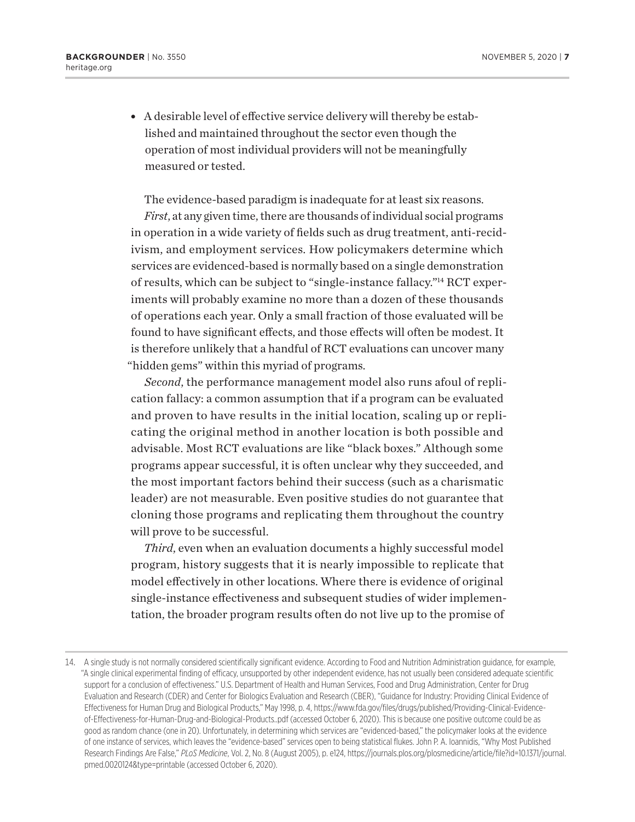• A desirable level of effective service delivery will thereby be established and maintained throughout the sector even though the operation of most individual providers will not be meaningfully measured or tested.

The evidence-based paradigm is inadequate for at least six reasons.

*First*, at any given time, there are thousands of individual social programs in operation in a wide variety of fields such as drug treatment, anti-recidivism, and employment services. How policymakers determine which services are evidenced-based is normally based on a single demonstration of results, which can be subject to "single-instance fallacy."14 RCT experiments will probably examine no more than a dozen of these thousands of operations each year. Only a small fraction of those evaluated will be found to have significant effects, and those effects will often be modest. It is therefore unlikely that a handful of RCT evaluations can uncover many "hidden gems" within this myriad of programs.

*Second*, the performance management model also runs afoul of replication fallacy: a common assumption that if a program can be evaluated and proven to have results in the initial location, scaling up or replicating the original method in another location is both possible and advisable. Most RCT evaluations are like "black boxes." Although some programs appear successful, it is often unclear why they succeeded, and the most important factors behind their success (such as a charismatic leader) are not measurable. Even positive studies do not guarantee that cloning those programs and replicating them throughout the country will prove to be successful.

*Third*, even when an evaluation documents a highly successful model program, history suggests that it is nearly impossible to replicate that model effectively in other locations. Where there is evidence of original single-instance effectiveness and subsequent studies of wider implementation, the broader program results often do not live up to the promise of

<sup>14.</sup> A single study is not normally considered scientifically significant evidence. According to Food and Nutrition Administration guidance, for example, "A single clinical experimental finding of efficacy, unsupported by other independent evidence, has not usually been considered adequate scientific support for a conclusion of effectiveness." U.S. Department of Health and Human Services, Food and Drug Administration, Center for Drug Evaluation and Research (CDER) and Center for Biologics Evaluation and Research (CBER), "Guidance for Industry: Providing Clinical Evidence of Effectiveness for Human Drug and Biological Products," May 1998, p. 4, https://www.fda.gov/files/drugs/published/Providing-Clinical-Evidenceof-Effectiveness-for-Human-Drug-and-Biological-Products..pdf (accessed October 6, 2020). This is because one positive outcome could be as good as random chance (one in 20). Unfortunately, in determining which services are "evidenced-based," the policymaker looks at the evidence of one instance of services, which leaves the "evidence-based" services open to being statistical flukes. John P. A. Ioannidis, "Why Most Published Research Findings Are False," *PLoS Medicine*, Vol. 2, No. 8 (August 2005), p. e124, https://journals.plos.org/plosmedicine/article/file?id=10.1371/journal. pmed.0020124&type=printable (accessed October 6, 2020).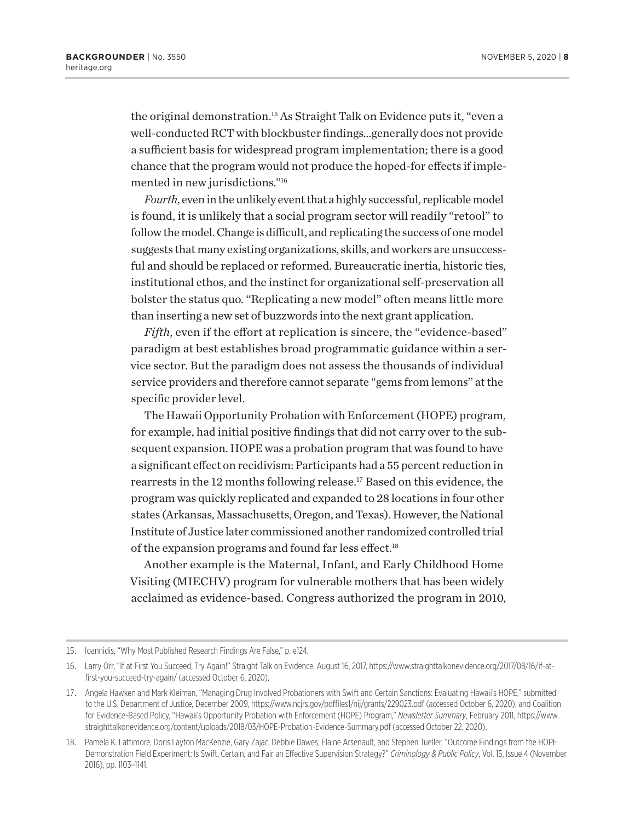the original demonstration.15 As Straight Talk on Evidence puts it, "even a well-conducted RCT with blockbuster findings…generally does not provide a sufficient basis for widespread program implementation; there is a good chance that the program would not produce the hoped-for effects if implemented in new jurisdictions."16

*Fourth*, even in the unlikely event that a highly successful, replicable model is found, it is unlikely that a social program sector will readily "retool" to follow the model. Change is difficult, and replicating the success of one model suggests that many existing organizations, skills, and workers are unsuccessful and should be replaced or reformed. Bureaucratic inertia, historic ties, institutional ethos, and the instinct for organizational self-preservation all bolster the status quo. "Replicating a new model" often means little more than inserting a new set of buzzwords into the next grant application.

*Fifth*, even if the effort at replication is sincere, the "evidence-based" paradigm at best establishes broad programmatic guidance within a service sector. But the paradigm does not assess the thousands of individual service providers and therefore cannot separate "gems from lemons" at the specific provider level.

The Hawaii Opportunity Probation with Enforcement (HOPE) program, for example, had initial positive findings that did not carry over to the subsequent expansion. HOPE was a probation program that was found to have a significant effect on recidivism: Participants had a 55 percent reduction in rearrests in the 12 months following release.<sup>17</sup> Based on this evidence, the program was quickly replicated and expanded to 28 locations in four other states (Arkansas, Massachusetts, Oregon, and Texas). However, the National Institute of Justice later commissioned another randomized controlled trial of the expansion programs and found far less effect.<sup>18</sup>

Another example is the Maternal, Infant, and Early Childhood Home Visiting (MIECHV) program for vulnerable mothers that has been widely acclaimed as evidence-based. Congress authorized the program in 2010,

<sup>15.</sup> Ioannidis, "Why Most Published Research Findings Are False," p. e124.

<sup>16.</sup> Larry Orr, "If at First You Succeed, Try Again!" Straight Talk on Evidence, August 16, 2017, https://www.straighttalkonevidence.org/2017/08/16/if-atfirst-you-succeed-try-again/ (accessed October 6, 2020).

<sup>17.</sup> Angela Hawken and Mark Kleiman, "Managing Drug Involved Probationers with Swift and Certain Sanctions: Evaluating Hawaii's HOPE," submitted to the U.S. Department of Justice, December 2009, https://www.ncjrs.gov/pdffiles1/nij/grants/229023.pdf (accessed October 6, 2020), and Coalition for Evidence-Based Policy, "Hawaii's Opportunity Probation with Enforcement (HOPE) Program," *Newsletter Summary*, February 2011, https://www. straighttalkonevidence.org/content/uploads/2018/03/HOPE-Probation-Evidence-Summary.pdf (accessed October 22, 2020).

<sup>18.</sup> Pamela K. Lattimore, Doris Layton MacKenzie, Gary Zajac, Debbie Dawes, Elaine Arsenault, and Stephen Tueller, "Outcome Findings from the HOPE Demonstration Field Experiment: Is Swift, Certain, and Fair an Effective Supervision Strategy?" *Criminology & Public Policy*, Vol. 15, Issue 4 (November 2016), pp. 1103–1141.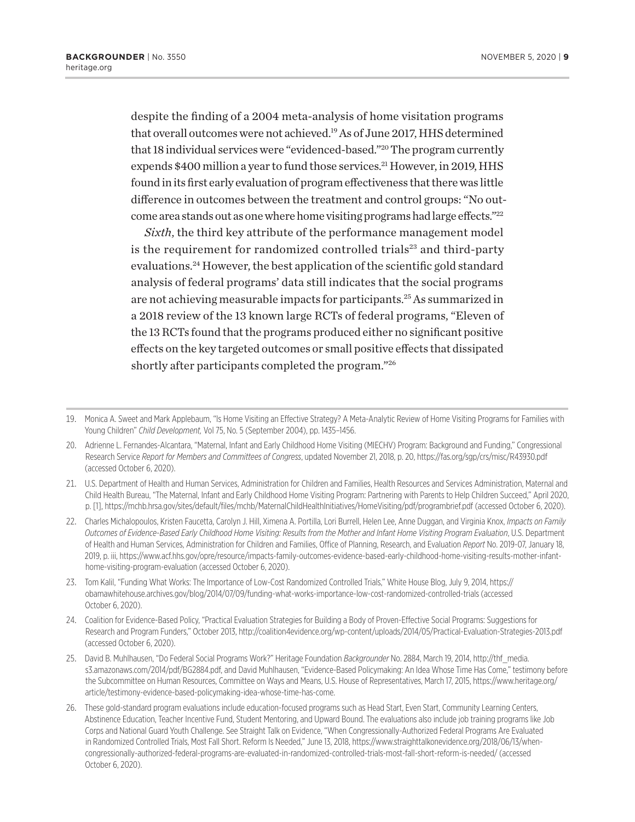despite the finding of a 2004 meta-analysis of home visitation programs that overall outcomes were not achieved.19 As of June 2017, HHS determined that 18 individual services were "evidenced-based."20 The program currently expends \$400 million a year to fund those services.<sup>21</sup> However, in 2019, HHS found in its first early evaluation of program effectiveness that there was little difference in outcomes between the treatment and control groups: "No outcome area stands out as one where home visiting programs had large effects."<sup>22</sup>

*Sixth*, the third key attribute of the performance management model is the requirement for randomized controlled trials $23$  and third-party evaluations.24 However, the best application of the scientific gold standard analysis of federal programs' data still indicates that the social programs are not achieving measurable impacts for participants.25 As summarized in a 2018 review of the 13 known large RCTs of federal programs, "Eleven of the 13 RCTs found that the programs produced either no significant positive effects on the key targeted outcomes or small positive effects that dissipated shortly after participants completed the program."26

<sup>19.</sup> Monica A. Sweet and Mark Applebaum, "Is Home Visiting an Effective Strategy? A Meta-Analytic Review of Home Visiting Programs for Families with Young Children" *Child Development,* Vol 75, No. 5 (September 2004), pp. 1435–1456.

<sup>20.</sup> Adrienne L. Fernandes-Alcantara, "Maternal, Infant and Early Childhood Home Visiting (MIECHV) Program: Background and Funding," Congressional Research Service *Report for Members and Committees of Congress*, updated November 21, 2018, p. 20, https://fas.org/sgp/crs/misc/R43930.pdf (accessed October 6, 2020).

<sup>21.</sup> U.S. Department of Health and Human Services, Administration for Children and Families, Health Resources and Services Administration, Maternal and Child Health Bureau, "The Maternal, Infant and Early Childhood Home Visiting Program: Partnering with Parents to Help Children Succeed," April 2020, p. [1], https://mchb.hrsa.gov/sites/default/files/mchb/MaternalChildHealthInitiatives/HomeVisiting/pdf/programbrief.pdf (accessed October 6, 2020).

<sup>22.</sup> Charles Michalopoulos, Kristen Faucetta, Carolyn J. Hill, Ximena A. Portilla, Lori Burrell, Helen Lee, Anne Duggan, and Virginia Knox, *Impacts on Family Outcomes of Evidence-Based Early Childhood Home Visiting: Results from the Mother and Infant Home Visiting Program Evaluation*, U.S. Department of Health and Human Services, Administration for Children and Families, Office of Planning, Research, and Evaluation *Report* No. 2019-07, January 18, 2019, p. iii, https://www.acf.hhs.gov/opre/resource/impacts-family-outcomes-evidence-based-early-childhood-home-visiting-results-mother-infanthome-visiting-program-evaluation (accessed October 6, 2020).

<sup>23.</sup> Tom Kalil, "Funding What Works: The Importance of Low-Cost Randomized Controlled Trials," White House Blog, July 9, 2014, https:// obamawhitehouse.archives.gov/blog/2014/07/09/funding-what-works-importance-low-cost-randomized-controlled-trials (accessed October 6, 2020).

<sup>24.</sup> Coalition for Evidence-Based Policy, "Practical Evaluation Strategies for Building a Body of Proven-Effective Social Programs: Suggestions for Research and Program Funders," October 2013, http://coalition4evidence.org/wp-content/uploads/2014/05/Practical-Evaluation-Strategies-2013.pdf (accessed October 6, 2020).

<sup>25.</sup> David B. Muhlhausen, "Do Federal Social Programs Work?" Heritage Foundation *Backgrounder* No. 2884, March 19, 2014, http://thf\_media. s3.amazonaws.com/2014/pdf/BG2884.pdf, and David Muhlhausen, "Evidence-Based Policymaking: An Idea Whose Time Has Come," testimony before the Subcommittee on Human Resources, Committee on Ways and Means, U.S. House of Representatives, March 17, 2015, https://www.heritage.org/ article/testimony-evidence-based-policymaking-idea-whose-time-has-come.

<sup>26.</sup> These gold-standard program evaluations include education-focused programs such as Head Start, Even Start, Community Learning Centers, Abstinence Education, Teacher Incentive Fund, Student Mentoring, and Upward Bound. The evaluations also include job training programs like Job Corps and National Guard Youth Challenge. See Straight Talk on Evidence, "When Congressionally-Authorized Federal Programs Are Evaluated in Randomized Controlled Trials, Most Fall Short. Reform Is Needed," June 13, 2018, https://www.straighttalkonevidence.org/2018/06/13/whencongressionally-authorized-federal-programs-are-evaluated-in-randomized-controlled-trials-most-fall-short-reform-is-needed/ (accessed October 6, 2020).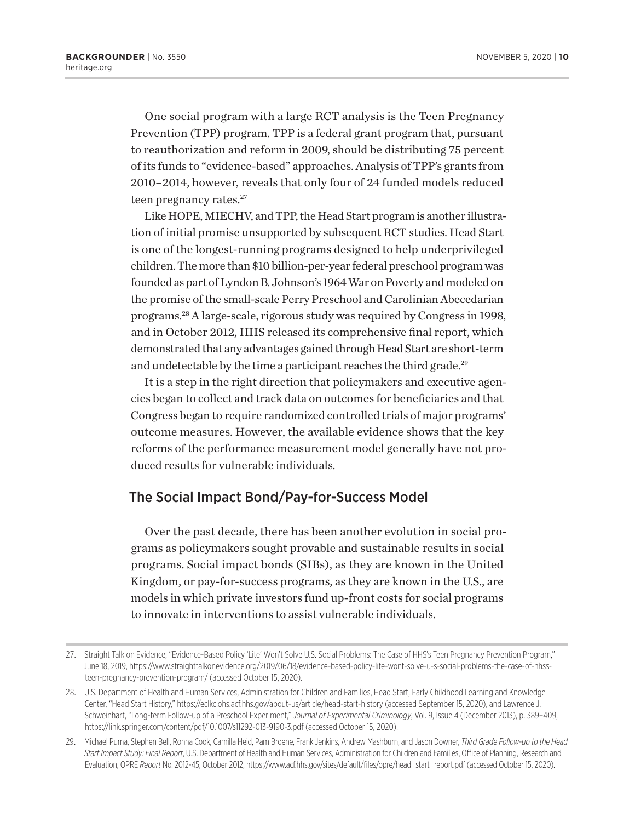One social program with a large RCT analysis is the Teen Pregnancy Prevention (TPP) program. TPP is a federal grant program that, pursuant to reauthorization and reform in 2009, should be distributing 75 percent of its funds to "evidence-based" approaches. Analysis of TPP's grants from 2010–2014, however, reveals that only four of 24 funded models reduced teen pregnancy rates.<sup>27</sup>

Like HOPE, MIECHV, and TPP, the Head Start program is another illustration of initial promise unsupported by subsequent RCT studies. Head Start is one of the longest-running programs designed to help underprivileged children. The more than \$10 billion-per-year federal preschool program was founded as part of Lyndon B. Johnson's 1964 War on Poverty and modeled on the promise of the small-scale Perry Preschool and Carolinian Abecedarian programs.28 A large-scale, rigorous study was required by Congress in 1998, and in October 2012, HHS released its comprehensive final report, which demonstrated that any advantages gained through Head Start are short-term and undetectable by the time a participant reaches the third grade.<sup>29</sup>

It is a step in the right direction that policymakers and executive agencies began to collect and track data on outcomes for beneficiaries and that Congress began to require randomized controlled trials of major programs' outcome measures. However, the available evidence shows that the key reforms of the performance measurement model generally have not produced results for vulnerable individuals.

#### The Social Impact Bond/Pay-for-Success Model

Over the past decade, there has been another evolution in social programs as policymakers sought provable and sustainable results in social programs. Social impact bonds (SIBs), as they are known in the United Kingdom, or pay-for-success programs, as they are known in the U.S., are models in which private investors fund up-front costs for social programs to innovate in interventions to assist vulnerable individuals.

<sup>27.</sup> Straight Talk on Evidence, "Evidence-Based Policy 'Lite' Won't Solve U.S. Social Problems: The Case of HHS's Teen Pregnancy Prevention Program," June 18, 2019, https://www.straighttalkonevidence.org/2019/06/18/evidence-based-policy-lite-wont-solve-u-s-social-problems-the-case-of-hhssteen-pregnancy-prevention-program/ (accessed October 15, 2020).

<sup>28.</sup> U.S. Department of Health and Human Services, Administration for Children and Families, Head Start, Early Childhood Learning and Knowledge Center, "Head Start History," https://eclkc.ohs.acf.hhs.gov/about-us/article/head-start-history (accessed September 15, 2020), and Lawrence J. Schweinhart, "Long-term Follow-up of a Preschool Experiment," *Journal of Experimental Criminology*, Vol. 9, Issue 4 (December 2013), p. 389–409, https://link.springer.com/content/pdf/10.1007/s11292-013-9190-3.pdf (accessed October 15, 2020).

<sup>29.</sup> Michael Puma, Stephen Bell, Ronna Cook, Camilla Heid, Pam Broene, Frank Jenkins, Andrew Mashburn, and Jason Downer, *Third Grade Follow-up to the Head Start Impact Study: Final Report*, U.S. Department of Health and Human Services, Administration for Children and Families, Office of Planning, Research and Evaluation, OPRE *Report* No. 2012-45, October 2012, https://www.acf.hhs.gov/sites/default/files/opre/head\_start\_report.pdf (accessed October 15, 2020).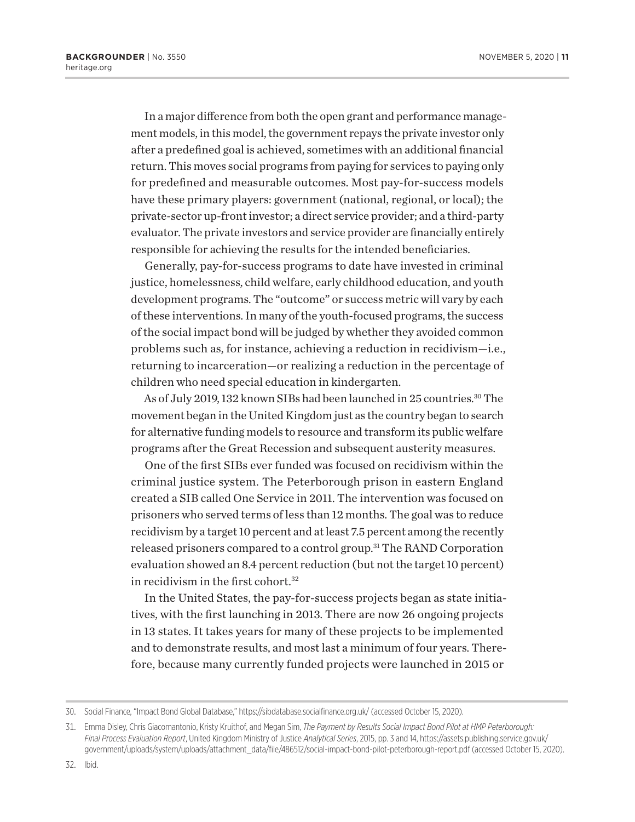In a major difference from both the open grant and performance management models, in this model, the government repays the private investor only after a predefined goal is achieved, sometimes with an additional financial return. This moves social programs from paying for services to paying only for predefined and measurable outcomes. Most pay-for-success models have these primary players: government (national, regional, or local); the private-sector up-front investor; a direct service provider; and a third-party evaluator. The private investors and service provider are financially entirely responsible for achieving the results for the intended beneficiaries.

Generally, pay-for-success programs to date have invested in criminal justice, homelessness, child welfare, early childhood education, and youth development programs. The "outcome" or success metric will vary by each of these interventions. In many of the youth-focused programs, the success of the social impact bond will be judged by whether they avoided common problems such as, for instance, achieving a reduction in recidivism—i.e., returning to incarceration—or realizing a reduction in the percentage of children who need special education in kindergarten.

As of July 2019, 132 known SIBs had been launched in 25 countries.<sup>30</sup> The movement began in the United Kingdom just as the country began to search for alternative funding models to resource and transform its public welfare programs after the Great Recession and subsequent austerity measures.

One of the first SIBs ever funded was focused on recidivism within the criminal justice system. The Peterborough prison in eastern England created a SIB called One Service in 2011. The intervention was focused on prisoners who served terms of less than 12 months. The goal was to reduce recidivism by a target 10 percent and at least 7.5 percent among the recently released prisoners compared to a control group.<sup>31</sup> The RAND Corporation evaluation showed an 8.4 percent reduction (but not the target 10 percent) in recidivism in the first cohort.<sup>32</sup>

In the United States, the pay-for-success projects began as state initiatives, with the first launching in 2013. There are now 26 ongoing projects in 13 states. It takes years for many of these projects to be implemented and to demonstrate results, and most last a minimum of four years. Therefore, because many currently funded projects were launched in 2015 or

<sup>30.</sup> Social Finance, "Impact Bond Global Database," https://sibdatabase.socialfinance.org.uk/ (accessed October 15, 2020).

<sup>31.</sup> Emma Disley, Chris Giacomantonio, Kristy Kruithof, and Megan Sim, *The Payment by Results Social Impact Bond Pilot at HMP Peterborough: Final Process Evaluation Report*, United Kingdom Ministry of Justice *Analytical Series*, 2015, pp. 3 and 14, https://assets.publishing.service.gov.uk/ government/uploads/system/uploads/attachment\_data/file/486512/social-impact-bond-pilot-peterborough-report.pdf (accessed October 15, 2020).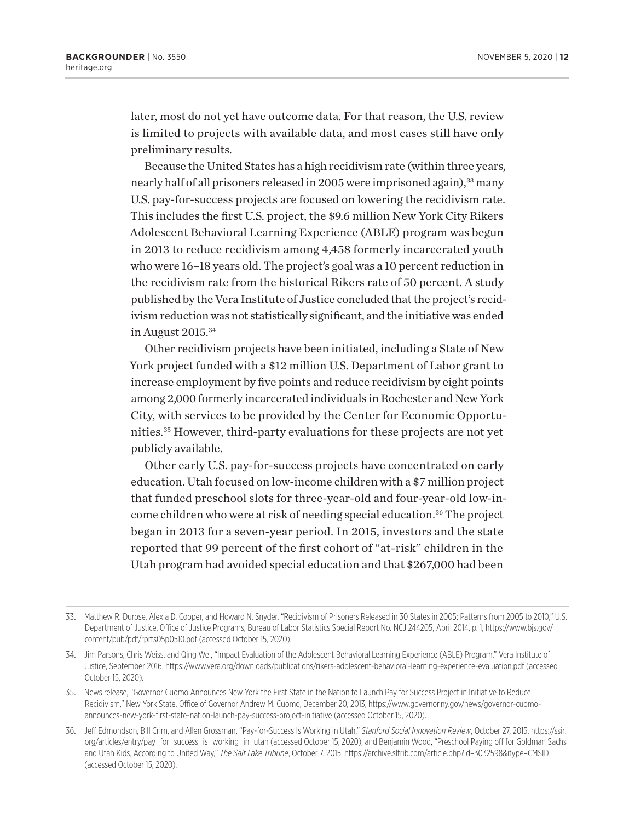later, most do not yet have outcome data. For that reason, the U.S. review is limited to projects with available data, and most cases still have only preliminary results.

Because the United States has a high recidivism rate (within three years, nearly half of all prisoners released in 2005 were imprisoned again),<sup>33</sup> many U.S. pay-for-success projects are focused on lowering the recidivism rate. This includes the first U.S. project, the \$9.6 million New York City Rikers Adolescent Behavioral Learning Experience (ABLE) program was begun in 2013 to reduce recidivism among 4,458 formerly incarcerated youth who were 16–18 years old. The project's goal was a 10 percent reduction in the recidivism rate from the historical Rikers rate of 50 percent. A study published by the Vera Institute of Justice concluded that the project's recidivism reduction was not statistically significant, and the initiative was ended in August 2015.34

Other recidivism projects have been initiated, including a State of New York project funded with a \$12 million U.S. Department of Labor grant to increase employment by five points and reduce recidivism by eight points among 2,000 formerly incarcerated individuals in Rochester and New York City, with services to be provided by the Center for Economic Opportunities.35 However, third-party evaluations for these projects are not yet publicly available.

Other early U.S. pay-for-success projects have concentrated on early education. Utah focused on low-income children with a \$7 million project that funded preschool slots for three-year-old and four-year-old low-income children who were at risk of needing special education.<sup>36</sup> The project began in 2013 for a seven-year period. In 2015, investors and the state reported that 99 percent of the first cohort of "at-risk" children in the Utah program had avoided special education and that \$267,000 had been

<sup>33.</sup> Matthew R. Durose, Alexia D. Cooper, and Howard N. Snyder, "Recidivism of Prisoners Released in 30 States in 2005: Patterns from 2005 to 2010," U.S. Department of Justice, Office of Justice Programs, Bureau of Labor Statistics Special Report No. NCJ 244205, April 2014, p. 1, https://www.bjs.gov/ content/pub/pdf/rprts05p0510.pdf (accessed October 15, 2020).

<sup>34.</sup> Jim Parsons, Chris Weiss, and Qing Wei, "Impact Evaluation of the Adolescent Behavioral Learning Experience (ABLE) Program," Vera Institute of Justice, September 2016, https://www.vera.org/downloads/publications/rikers-adolescent-behavioral-learning-experience-evaluation.pdf (accessed October 15, 2020).

<sup>35.</sup> News release, "Governor Cuomo Announces New York the First State in the Nation to Launch Pay for Success Project in Initiative to Reduce Recidivism," New York State, Office of Governor Andrew M. Cuomo, December 20, 2013, https://www.governor.ny.gov/news/governor-cuomoannounces-new-york-first-state-nation-launch-pay-success-project-initiative (accessed October 15, 2020).

<sup>36.</sup> Jeff Edmondson, Bill Crim, and Allen Grossman, "Pay-for-Success Is Working in Utah," *Stanford Social Innovation Review*, October 27, 2015, https://ssir. org/articles/entry/pay\_for\_success\_is\_working\_in\_utah (accessed October 15, 2020), and Benjamin Wood, "Preschool Paying off for Goldman Sachs and Utah Kids, According to United Way," *The Salt Lake Tribune*, October 7, 2015, https://archive.sltrib.com/article.php?id=3032598&itype=CMSID (accessed October 15, 2020).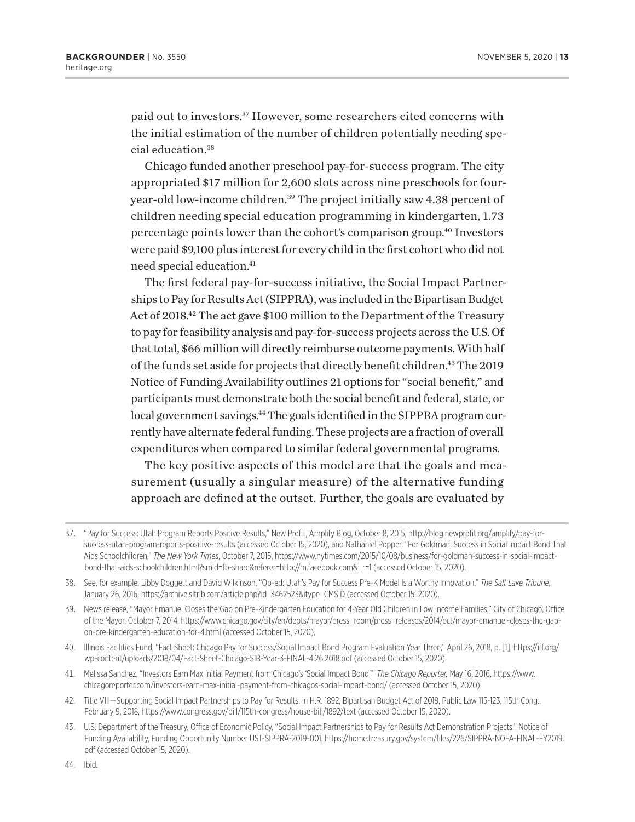paid out to investors.37 However, some researchers cited concerns with the initial estimation of the number of children potentially needing special education.<sup>38</sup>

Chicago funded another preschool pay-for-success program. The city appropriated \$17 million for 2,600 slots across nine preschools for fouryear-old low-income children.39 The project initially saw 4.38 percent of children needing special education programming in kindergarten, 1.73 percentage points lower than the cohort's comparison group.40 Investors were paid \$9,100 plus interest for every child in the first cohort who did not need special education.41

The first federal pay-for-success initiative, the Social Impact Partnerships to Pay for Results Act (SIPPRA), was included in the Bipartisan Budget Act of 2018.<sup>42</sup> The act gave \$100 million to the Department of the Treasury to pay for feasibility analysis and pay-for-success projects across the U.S. Of that total, \$66 million will directly reimburse outcome payments. With half of the funds set aside for projects that directly benefit children.43 The 2019 Notice of Funding Availability outlines 21 options for "social benefit," and participants must demonstrate both the social benefit and federal, state, or local government savings.<sup>44</sup> The goals identified in the SIPPRA program currently have alternate federal funding. These projects are a fraction of overall expenditures when compared to similar federal governmental programs.

The key positive aspects of this model are that the goals and measurement (usually a singular measure) of the alternative funding approach are defined at the outset. Further, the goals are evaluated by

- 41. Melissa Sanchez, "Investors Earn Max Initial Payment from Chicago's 'Social Impact Bond,'" *The Chicago Reporter,* May 16, 2016, https://www. chicagoreporter.com/investors-earn-max-initial-payment-from-chicagos-social-impact-bond/ (accessed October 15, 2020).
- 42. Title VIII—Supporting Social Impact Partnerships to Pay for Results, in H.R. 1892, Bipartisan Budget Act of 2018, Public Law 115-123, 115th Cong., February 9, 2018, https://www.congress.gov/bill/115th-congress/house-bill/1892/text (accessed October 15, 2020).
- 43. U.S. Department of the Treasury, Office of Economic Policy, "Social Impact Partnerships to Pay for Results Act Demonstration Projects," Notice of Funding Availability, Funding Opportunity Number UST-SIPPRA-2019-001, https://home.treasury.gov/system/files/226/SIPPRA-NOFA-FINAL-FY2019. pdf (accessed October 15, 2020).

44. Ibid.

<sup>37.</sup> "Pay for Success: Utah Program Reports Positive Results," New Profit, Amplify Blog, October 8, 2015, http://blog.newprofit.org/amplify/pay-forsuccess-utah-program-reports-positive-results (accessed October 15, 2020), and Nathaniel Popper, "For Goldman, Success in Social Impact Bond That Aids Schoolchildren," *The New York Times*, October 7, 2015, https://www.nytimes.com/2015/10/08/business/for-goldman-success-in-social-impactbond-that-aids-schoolchildren.html?smid=fb-share&referer=http://m.facebook.com&\_r=1 (accessed October 15, 2020).

<sup>38.</sup> See, for example, Libby Doggett and David Wilkinson, "Op-ed: Utah's Pay for Success Pre-K Model Is a Worthy Innovation," *The Salt Lake Tribune*, January 26, 2016, https://archive.sltrib.com/article.php?id=3462523&itype=CMSID (accessed October 15, 2020).

<sup>39.</sup> News release, "Mayor Emanuel Closes the Gap on Pre-Kindergarten Education for 4-Year Old Children in Low Income Families," City of Chicago, Office of the Mayor, October 7, 2014, https://www.chicago.gov/city/en/depts/mayor/press\_room/press\_releases/2014/oct/mayor-emanuel-closes-the-gapon-pre-kindergarten-education-for-4.html (accessed October 15, 2020).

<sup>40.</sup> Illinois Facilities Fund, "Fact Sheet: Chicago Pay for Success/Social Impact Bond Program Evaluation Year Three," April 26, 2018, p. [1], https://iff.org/ wp-content/uploads/2018/04/Fact-Sheet-Chicago-SIB-Year-3-FINAL-4.26.2018.pdf (accessed October 15, 2020).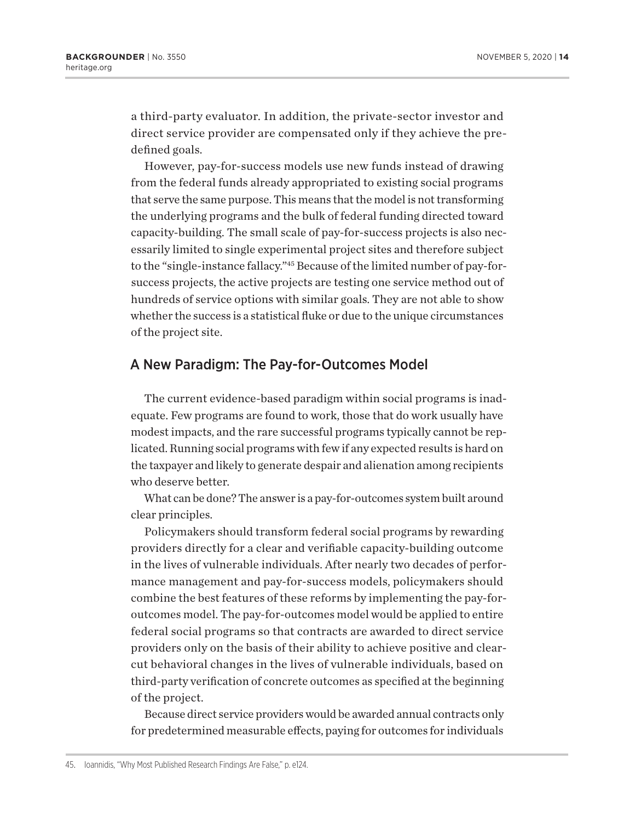a third-party evaluator. In addition, the private-sector investor and direct service provider are compensated only if they achieve the predefined goals.

However, pay-for-success models use new funds instead of drawing from the federal funds already appropriated to existing social programs that serve the same purpose. This means that the model is not transforming the underlying programs and the bulk of federal funding directed toward capacity-building. The small scale of pay-for-success projects is also necessarily limited to single experimental project sites and therefore subject to the "single-instance fallacy."45 Because of the limited number of pay-forsuccess projects, the active projects are testing one service method out of hundreds of service options with similar goals. They are not able to show whether the success is a statistical fluke or due to the unique circumstances of the project site.

## A New Paradigm: The Pay-for-Outcomes Model

The current evidence-based paradigm within social programs is inadequate. Few programs are found to work, those that do work usually have modest impacts, and the rare successful programs typically cannot be replicated. Running social programs with few if any expected results is hard on the taxpayer and likely to generate despair and alienation among recipients who deserve better.

What can be done? The answer is a pay-for-outcomes system built around clear principles.

Policymakers should transform federal social programs by rewarding providers directly for a clear and verifiable capacity-building outcome in the lives of vulnerable individuals. After nearly two decades of performance management and pay-for-success models, policymakers should combine the best features of these reforms by implementing the pay-foroutcomes model. The pay-for-outcomes model would be applied to entire federal social programs so that contracts are awarded to direct service providers only on the basis of their ability to achieve positive and clearcut behavioral changes in the lives of vulnerable individuals, based on third-party verification of concrete outcomes as specified at the beginning of the project.

Because direct service providers would be awarded annual contracts only for predetermined measurable effects, paying for outcomes for individuals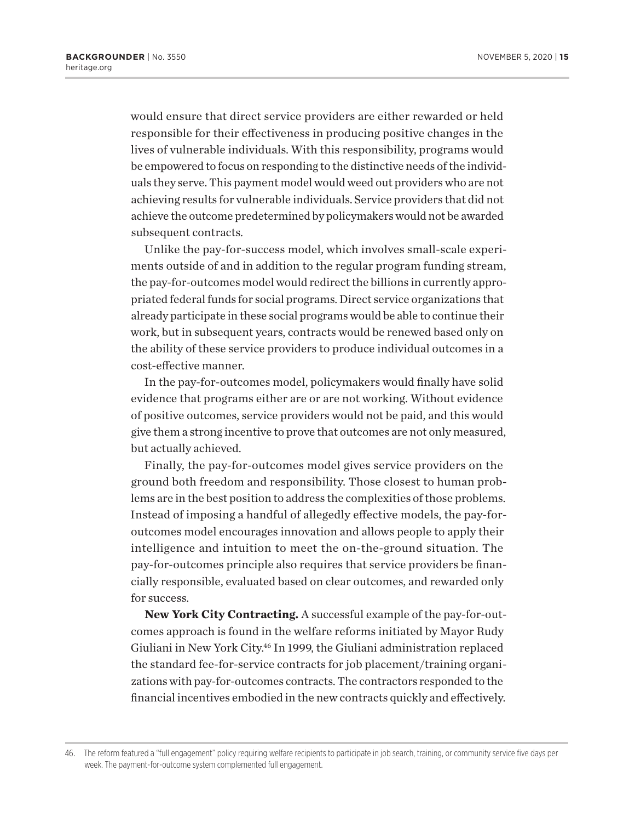would ensure that direct service providers are either rewarded or held responsible for their effectiveness in producing positive changes in the lives of vulnerable individuals. With this responsibility, programs would be empowered to focus on responding to the distinctive needs of the individuals they serve. This payment model would weed out providers who are not achieving results for vulnerable individuals. Service providers that did not achieve the outcome predetermined by policymakers would not be awarded subsequent contracts.

Unlike the pay-for-success model, which involves small-scale experiments outside of and in addition to the regular program funding stream, the pay-for-outcomes model would redirect the billions in currently appropriated federal funds for social programs. Direct service organizations that already participate in these social programs would be able to continue their work, but in subsequent years, contracts would be renewed based only on the ability of these service providers to produce individual outcomes in a cost-effective manner.

In the pay-for-outcomes model, policymakers would finally have solid evidence that programs either are or are not working. Without evidence of positive outcomes, service providers would not be paid, and this would give them a strong incentive to prove that outcomes are not only measured, but actually achieved.

Finally, the pay-for-outcomes model gives service providers on the ground both freedom and responsibility. Those closest to human problems are in the best position to address the complexities of those problems. Instead of imposing a handful of allegedly effective models, the pay-foroutcomes model encourages innovation and allows people to apply their intelligence and intuition to meet the on-the-ground situation. The pay-for-outcomes principle also requires that service providers be financially responsible, evaluated based on clear outcomes, and rewarded only for success.

**New York City Contracting.** A successful example of the pay-for-outcomes approach is found in the welfare reforms initiated by Mayor Rudy Giuliani in New York City.46 In 1999, the Giuliani administration replaced the standard fee-for-service contracts for job placement/training organizations with pay-for-outcomes contracts. The contractors responded to the financial incentives embodied in the new contracts quickly and effectively.

<sup>46.</sup> The reform featured a "full engagement" policy requiring welfare recipients to participate in job search, training, or community service five days per week. The payment-for-outcome system complemented full engagement.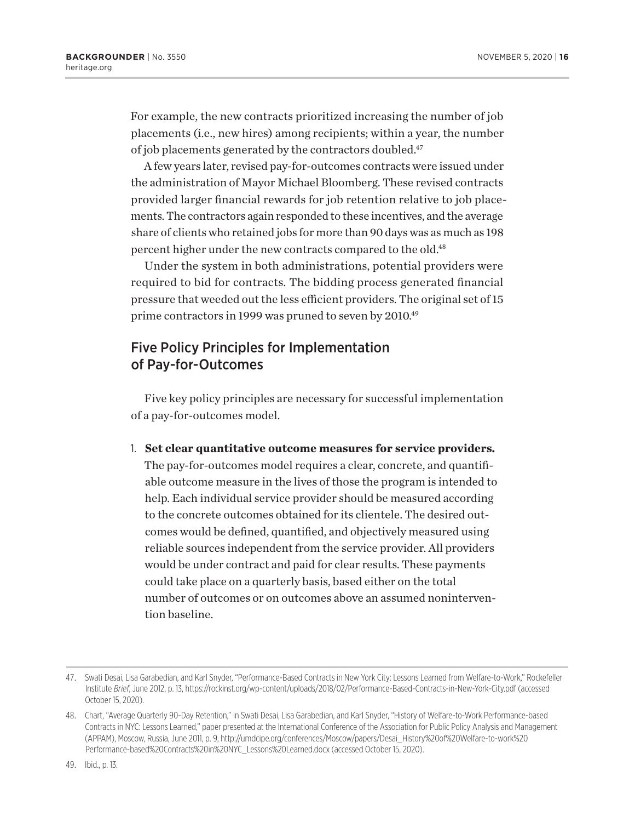For example, the new contracts prioritized increasing the number of job placements (i.e., new hires) among recipients; within a year, the number of job placements generated by the contractors doubled.<sup>47</sup>

A few years later, revised pay-for-outcomes contracts were issued under the administration of Mayor Michael Bloomberg. These revised contracts provided larger financial rewards for job retention relative to job placements. The contractors again responded to these incentives, and the average share of clients who retained jobs for more than 90 days was as much as 198 percent higher under the new contracts compared to the old.48

Under the system in both administrations, potential providers were required to bid for contracts. The bidding process generated financial pressure that weeded out the less efficient providers. The original set of 15 prime contractors in 1999 was pruned to seven by 2010.<sup>49</sup>

## Five Policy Principles for Implementation of Pay-for-Outcomes

Five key policy principles are necessary for successful implementation of a pay-for-outcomes model.

1. **Set clear quantitative outcome measures for service providers.** The pay-for-outcomes model requires a clear, concrete, and quantifi-

able outcome measure in the lives of those the program is intended to help. Each individual service provider should be measured according to the concrete outcomes obtained for its clientele. The desired outcomes would be defined, quantified, and objectively measured using reliable sources independent from the service provider. All providers would be under contract and paid for clear results. These payments could take place on a quarterly basis, based either on the total number of outcomes or on outcomes above an assumed nonintervention baseline.

<sup>47.</sup> Swati Desai, Lisa Garabedian, and Karl Snyder, "Performance-Based Contracts in New York City: Lessons Learned from Welfare-to-Work," Rockefeller Institute *Brief*, June 2012, p. 13, https://rockinst.org/wp-content/uploads/2018/02/Performance-Based-Contracts-in-New-York-City.pdf (accessed October 15, 2020).

<sup>48.</sup> Chart, "Average Quarterly 90-Day Retention," in Swati Desai, Lisa Garabedian, and Karl Snyder, "History of Welfare-to-Work Performance-based Contracts in NYC: Lessons Learned," paper presented at the International Conference of the Association for Public Policy Analysis and Management (APPAM), Moscow, Russia, June 2011, p. 9, http://umdcipe.org/conferences/Moscow/papers/Desai\_History%20of%20Welfare-to-work%20 Performance-based%20Contracts%20in%20NYC\_Lessons%20Learned.docx (accessed October 15, 2020).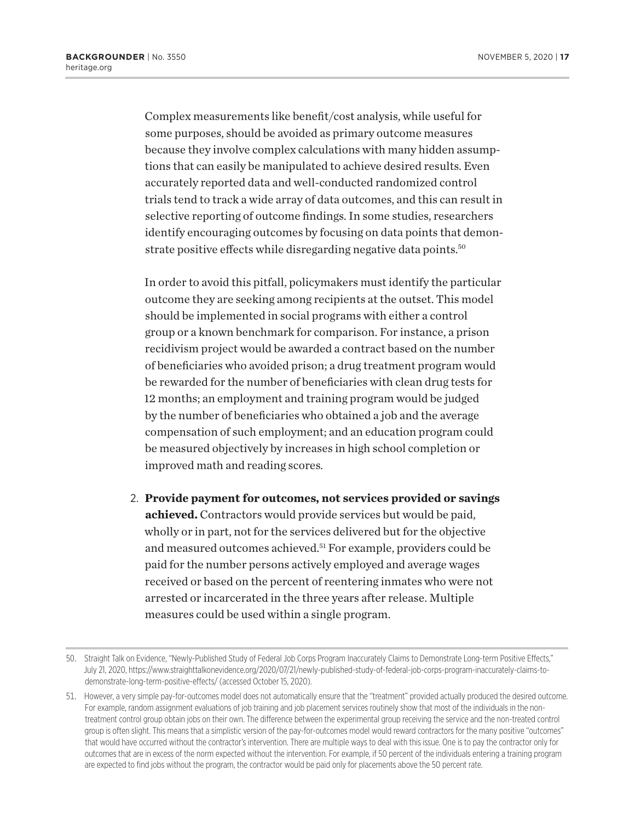Complex measurements like benefit/cost analysis, while useful for some purposes, should be avoided as primary outcome measures because they involve complex calculations with many hidden assumptions that can easily be manipulated to achieve desired results. Even accurately reported data and well-conducted randomized control trials tend to track a wide array of data outcomes, and this can result in selective reporting of outcome findings. In some studies, researchers identify encouraging outcomes by focusing on data points that demonstrate positive effects while disregarding negative data points.<sup>50</sup>

In order to avoid this pitfall, policymakers must identify the particular outcome they are seeking among recipients at the outset. This model should be implemented in social programs with either a control group or a known benchmark for comparison. For instance, a prison recidivism project would be awarded a contract based on the number of beneficiaries who avoided prison; a drug treatment program would be rewarded for the number of beneficiaries with clean drug tests for 12 months; an employment and training program would be judged by the number of beneficiaries who obtained a job and the average compensation of such employment; and an education program could be measured objectively by increases in high school completion or improved math and reading scores.

2. **Provide payment for outcomes, not services provided or savings achieved.** Contractors would provide services but would be paid, wholly or in part, not for the services delivered but for the objective and measured outcomes achieved.51 For example, providers could be paid for the number persons actively employed and average wages received or based on the percent of reentering inmates who were not arrested or incarcerated in the three years after release. Multiple measures could be used within a single program.

<sup>50.</sup> Straight Talk on Evidence, "Newly-Published Study of Federal Job Corps Program Inaccurately Claims to Demonstrate Long-term Positive Effects," July 21, 2020, https://www.straighttalkonevidence.org/2020/07/21/newly-published-study-of-federal-job-corps-program-inaccurately-claims-todemonstrate-long-term-positive-effects/ (accessed October 15, 2020).

<sup>51.</sup> However, a very simple pay-for-outcomes model does not automatically ensure that the "treatment" provided actually produced the desired outcome. For example, random assignment evaluations of job training and job placement services routinely show that most of the individuals in the nontreatment control group obtain jobs on their own. The difference between the experimental group receiving the service and the non-treated control group is often slight. This means that a simplistic version of the pay-for-outcomes model would reward contractors for the many positive "outcomes" that would have occurred without the contractor's intervention. There are multiple ways to deal with this issue. One is to pay the contractor only for outcomes that are in excess of the norm expected without the intervention. For example, if 50 percent of the individuals entering a training program are expected to find jobs without the program, the contractor would be paid only for placements above the 50 percent rate.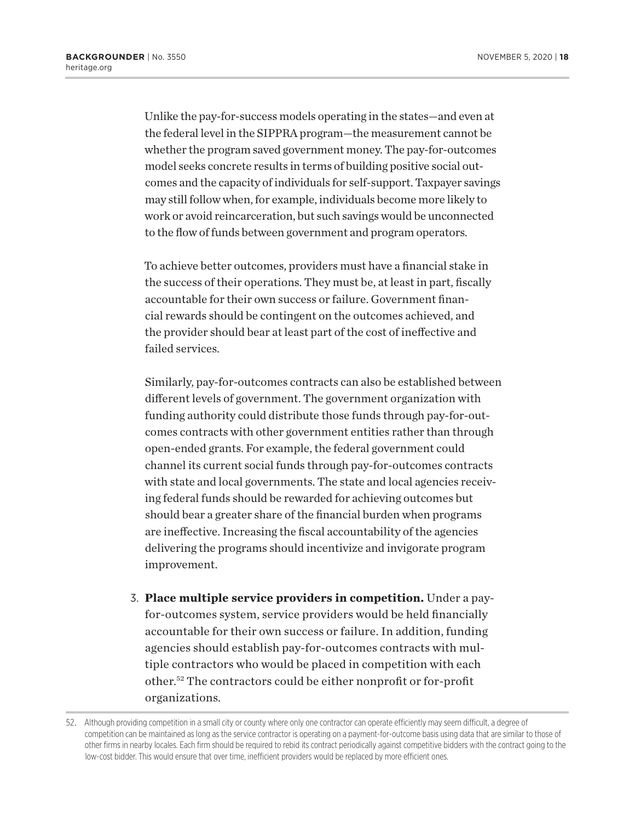Unlike the pay-for-success models operating in the states—and even at the federal level in the SIPPRA program—the measurement cannot be whether the program saved government money. The pay-for-outcomes model seeks concrete results in terms of building positive social outcomes and the capacity of individuals for self-support. Taxpayer savings may still follow when, for example, individuals become more likely to work or avoid reincarceration, but such savings would be unconnected to the flow of funds between government and program operators.

To achieve better outcomes, providers must have a financial stake in the success of their operations. They must be, at least in part, fiscally accountable for their own success or failure. Government financial rewards should be contingent on the outcomes achieved, and the provider should bear at least part of the cost of ineffective and failed services.

Similarly, pay-for-outcomes contracts can also be established between different levels of government. The government organization with funding authority could distribute those funds through pay-for-outcomes contracts with other government entities rather than through open-ended grants. For example, the federal government could channel its current social funds through pay-for-outcomes contracts with state and local governments. The state and local agencies receiving federal funds should be rewarded for achieving outcomes but should bear a greater share of the financial burden when programs are ineffective. Increasing the fiscal accountability of the agencies delivering the programs should incentivize and invigorate program improvement.

3. **Place multiple service providers in competition.** Under a payfor-outcomes system, service providers would be held financially accountable for their own success or failure. In addition, funding agencies should establish pay-for-outcomes contracts with multiple contractors who would be placed in competition with each other.52 The contractors could be either nonprofit or for-profit organizations.

<sup>52.</sup> Although providing competition in a small city or county where only one contractor can operate efficiently may seem difficult, a degree of competition can be maintained as long as the service contractor is operating on a payment-for-outcome basis using data that are similar to those of other firms in nearby locales. Each firm should be required to rebid its contract periodically against competitive bidders with the contract going to the low-cost bidder. This would ensure that over time, inefficient providers would be replaced by more efficient ones.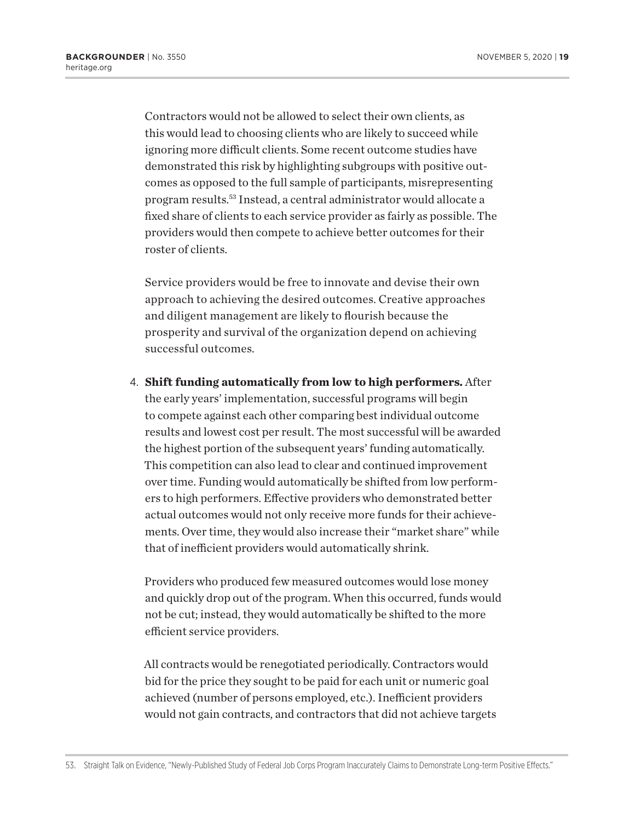Contractors would not be allowed to select their own clients, as this would lead to choosing clients who are likely to succeed while ignoring more difficult clients. Some recent outcome studies have demonstrated this risk by highlighting subgroups with positive outcomes as opposed to the full sample of participants, misrepresenting program results.53 Instead, a central administrator would allocate a fixed share of clients to each service provider as fairly as possible. The providers would then compete to achieve better outcomes for their roster of clients.

Service providers would be free to innovate and devise their own approach to achieving the desired outcomes. Creative approaches and diligent management are likely to flourish because the prosperity and survival of the organization depend on achieving successful outcomes.

4. **Shift funding automatically from low to high performers.** After the early years' implementation, successful programs will begin to compete against each other comparing best individual outcome results and lowest cost per result. The most successful will be awarded the highest portion of the subsequent years' funding automatically. This competition can also lead to clear and continued improvement over time. Funding would automatically be shifted from low performers to high performers. Effective providers who demonstrated better actual outcomes would not only receive more funds for their achievements. Over time, they would also increase their "market share" while that of inefficient providers would automatically shrink.

Providers who produced few measured outcomes would lose money and quickly drop out of the program. When this occurred, funds would not be cut; instead, they would automatically be shifted to the more efficient service providers.

All contracts would be renegotiated periodically. Contractors would bid for the price they sought to be paid for each unit or numeric goal achieved (number of persons employed, etc.). Inefficient providers would not gain contracts, and contractors that did not achieve targets

<sup>53.</sup> Straight Talk on Evidence, "Newly-Published Study of Federal Job Corps Program Inaccurately Claims to Demonstrate Long-term Positive Effects."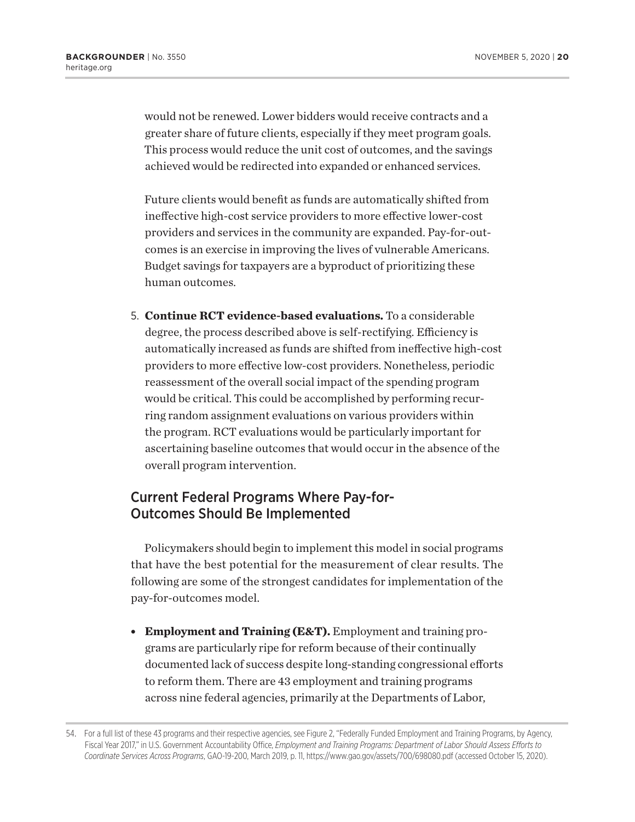would not be renewed. Lower bidders would receive contracts and a greater share of future clients, especially if they meet program goals. This process would reduce the unit cost of outcomes, and the savings achieved would be redirected into expanded or enhanced services.

Future clients would benefit as funds are automatically shifted from ineffective high-cost service providers to more effective lower-cost providers and services in the community are expanded. Pay-for-outcomes is an exercise in improving the lives of vulnerable Americans. Budget savings for taxpayers are a byproduct of prioritizing these human outcomes.

5. **Continue RCT evidence-based evaluations.** To a considerable degree, the process described above is self-rectifying. Efficiency is automatically increased as funds are shifted from ineffective high-cost providers to more effective low-cost providers. Nonetheless, periodic reassessment of the overall social impact of the spending program would be critical. This could be accomplished by performing recurring random assignment evaluations on various providers within the program. RCT evaluations would be particularly important for ascertaining baseline outcomes that would occur in the absence of the overall program intervention.

## Current Federal Programs Where Pay-for-Outcomes Should Be Implemented

Policymakers should begin to implement this model in social programs that have the best potential for the measurement of clear results. The following are some of the strongest candidates for implementation of the pay-for-outcomes model.

**Employment and Training (E&T).** Employment and training programs are particularly ripe for reform because of their continually documented lack of success despite long-standing congressional efforts to reform them. There are 43 employment and training programs across nine federal agencies, primarily at the Departments of Labor,

<sup>54.</sup> For a full list of these 43 programs and their respective agencies, see Figure 2, "Federally Funded Employment and Training Programs, by Agency, Fiscal Year 2017," in U.S. Government Accountability Office, *Employment and Training Programs: Department of Labor Should Assess Efforts to Coordinate Services Across Programs*, GAO-19-200, March 2019, p. 11, https://www.gao.gov/assets/700/698080.pdf (accessed October 15, 2020).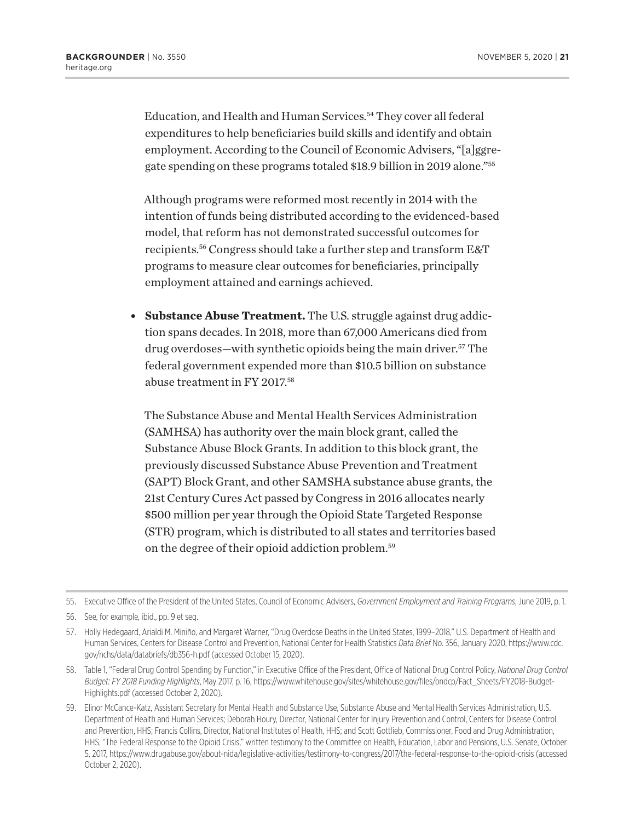Education, and Health and Human Services.<sup>54</sup> They cover all federal expenditures to help beneficiaries build skills and identify and obtain employment. According to the Council of Economic Advisers, "[a]ggregate spending on these programs totaled \$18.9 billion in 2019 alone."55

Although programs were reformed most recently in 2014 with the intention of funds being distributed according to the evidenced-based model, that reform has not demonstrated successful outcomes for recipients.56 Congress should take a further step and transform E&T programs to measure clear outcomes for beneficiaries, principally employment attained and earnings achieved.

**• Substance Abuse Treatment.** The U.S. struggle against drug addiction spans decades. In 2018, more than 67,000 Americans died from drug overdoses—with synthetic opioids being the main driver.57 The federal government expended more than \$10.5 billion on substance abuse treatment in FY 2017.58

The Substance Abuse and Mental Health Services Administration (SAMHSA) has authority over the main block grant, called the Substance Abuse Block Grants. In addition to this block grant, the previously discussed Substance Abuse Prevention and Treatment (SAPT) Block Grant, and other SAMSHA substance abuse grants, the 21st Century Cures Act passed by Congress in 2016 allocates nearly \$500 million per year through the Opioid State Targeted Response (STR) program, which is distributed to all states and territories based on the degree of their opioid addiction problem.59

<sup>55.</sup> Executive Office of the President of the United States, Council of Economic Advisers, *Government Employment and Training Programs*, June 2019, p. 1.

<sup>56.</sup> See, for example, ibid., pp. 9 et seq.

<sup>57.</sup> Holly Hedegaard, Arialdi M. Miniño, and Margaret Warner, "Drug Overdose Deaths in the United States, 1999–2018," U.S. Department of Health and Human Services, Centers for Disease Control and Prevention, National Center for Health Statistics *Data Brief* No. 356, January 2020, https://www.cdc. gov/nchs/data/databriefs/db356-h.pdf (accessed October 15, 2020).

<sup>58.</sup> Table 1, "Federal Drug Control Spending by Function," in Executive Office of the President, Office of National Drug Control Policy, *National Drug Control Budget: FY 2018 Funding Highlights*, May 2017, p. 16, https://www.whitehouse.gov/sites/whitehouse.gov/files/ondcp/Fact\_Sheets/FY2018-Budget-Highlights.pdf (accessed October 2, 2020).

<sup>59.</sup> Elinor McCance-Katz, Assistant Secretary for Mental Health and Substance Use, Substance Abuse and Mental Health Services Administration, U.S. Department of Health and Human Services; Deborah Houry, Director, National Center for Injury Prevention and Control, Centers for Disease Control and Prevention, HHS; Francis Collins, Director, National Institutes of Health, HHS; and Scott Gottlieb, Commissioner, Food and Drug Administration, HHS, "The Federal Response to the Opioid Crisis," written testimony to the Committee on Health, Education, Labor and Pensions, U.S. Senate, October 5, 2017, https://www.drugabuse.gov/about-nida/legislative-activities/testimony-to-congress/2017/the-federal-response-to-the-opioid-crisis (accessed October 2, 2020).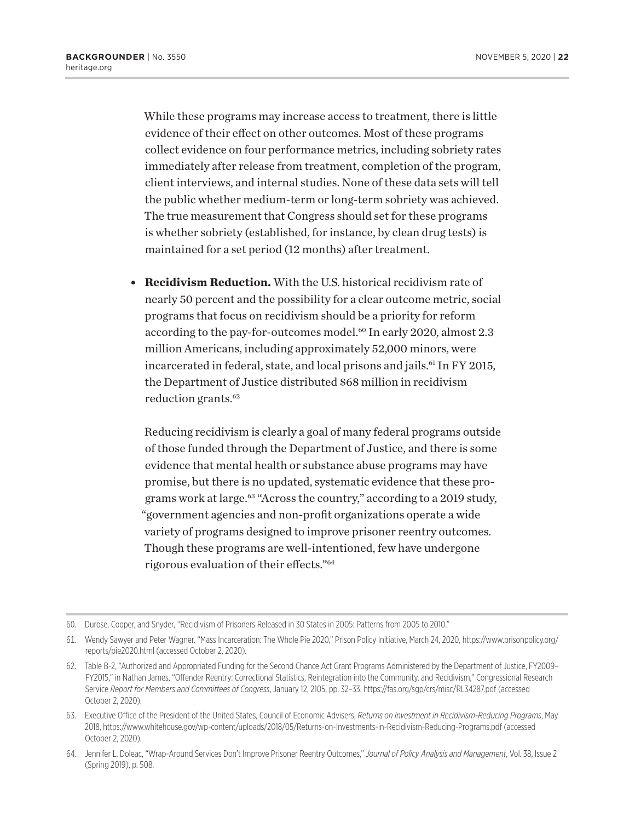While these programs may increase access to treatment, there is little evidence of their effect on other outcomes. Most of these programs collect evidence on four performance metrics, including sobriety rates immediately after release from treatment, completion of the program, client interviews, and internal studies. None of these data sets will tell the public whether medium-term or long-term sobriety was achieved. The true measurement that Congress should set for these programs is whether sobriety (established, for instance, by clean drug tests) is maintained for a set period (12 months) after treatment.

**Recidivism Reduction.** With the U.S. historical recidivism rate of nearly 50 percent and the possibility for a clear outcome metric, social programs that focus on recidivism should be a priority for reform according to the pay-for-outcomes model.<sup>60</sup> In early 2020, almost 2.3 million Americans, including approximately 52,000 minors, were incarcerated in federal, state, and local prisons and jails.<sup>61</sup> In FY 2015, the Department of Justice distributed \$68 million in recidivism reduction grants.<sup>62</sup>

Reducing recidivism is clearly a goal of many federal programs outside of those funded through the Department of Justice, and there is some evidence that mental health or substance abuse programs may have promise, but there is no updated, systematic evidence that these programs work at large.<sup>63</sup> "Across the country," according to a 2019 study, "government agencies and non-profit organizations operate a wide variety of programs designed to improve prisoner reentry outcomes. Though these programs are well-intentioned, few have undergone rigorous evaluation of their effects."64

<sup>60.</sup> Durose, Cooper, and Snyder, "Recidivism of Prisoners Released in 30 States in 2005: Patterns from 2005 to 2010."

<sup>61.</sup> Wendy Sawyer and Peter Wagner, "Mass Incarceration: The Whole Pie 2020," Prison Policy Initiative, March 24, 2020, https://www.prisonpolicy.org/ reports/pie2020.html (accessed October 2, 2020).

<sup>62.</sup> Table B-2, "Authorized and Appropriated Funding for the Second Chance Act Grant Programs Administered by the Department of Justice, FY2009– FY2015," in Nathan James, "Offender Reentry: Correctional Statistics, Reintegration into the Community, and Recidivism," Congressional Research Service *Report for Members and Committees of Congress*, January 12, 2105, pp. 32–33, https://fas.org/sgp/crs/misc/RL34287.pdf (accessed October 2, 2020).

<sup>63.</sup> Executive Office of the President of the United States, Council of Economic Advisers, *Returns on Investment in Recidivism-Reducing Programs*, May 2018, https://www.whitehouse.gov/wp-content/uploads/2018/05/Returns-on-Investments-in-Recidivism-Reducing-Programs.pdf (accessed October 2, 2020).

<sup>64.</sup> Jennifer L. Doleac, "Wrap-Around Services Don't Improve Prisoner Reentry Outcomes," *Journal of Policy Analysis and Management*, Vol. 38, Issue 2 (Spring 2019), p. 508.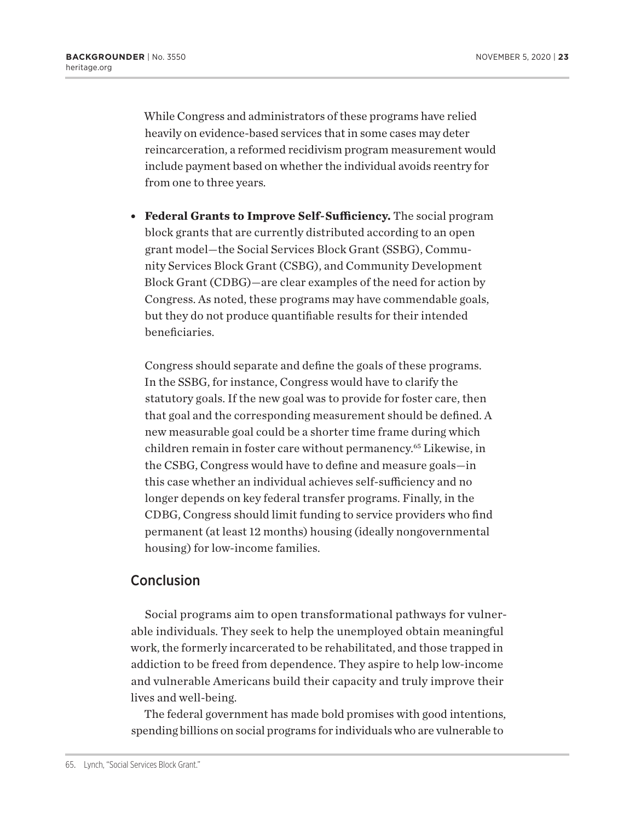While Congress and administrators of these programs have relied heavily on evidence-based services that in some cases may deter reincarceration, a reformed recidivism program measurement would include payment based on whether the individual avoids reentry for from one to three years.

**• Federal Grants to Improve Self-Sufficiency.** The social program block grants that are currently distributed according to an open grant model—the Social Services Block Grant (SSBG), Community Services Block Grant (CSBG), and Community Development Block Grant (CDBG)—are clear examples of the need for action by Congress. As noted, these programs may have commendable goals, but they do not produce quantifiable results for their intended beneficiaries.

Congress should separate and define the goals of these programs. In the SSBG, for instance, Congress would have to clarify the statutory goals. If the new goal was to provide for foster care, then that goal and the corresponding measurement should be defined. A new measurable goal could be a shorter time frame during which children remain in foster care without permanency.65 Likewise, in the CSBG, Congress would have to define and measure goals—in this case whether an individual achieves self-sufficiency and no longer depends on key federal transfer programs. Finally, in the CDBG, Congress should limit funding to service providers who find permanent (at least 12 months) housing (ideally nongovernmental housing) for low-income families.

## Conclusion

Social programs aim to open transformational pathways for vulnerable individuals. They seek to help the unemployed obtain meaningful work, the formerly incarcerated to be rehabilitated, and those trapped in addiction to be freed from dependence. They aspire to help low-income and vulnerable Americans build their capacity and truly improve their lives and well-being.

The federal government has made bold promises with good intentions, spending billions on social programs for individuals who are vulnerable to